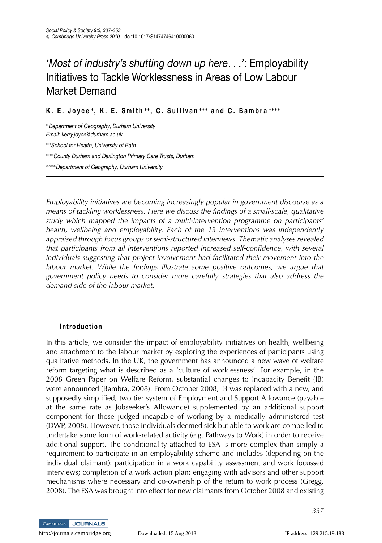# *'Most of industry's shutting down up here...'*: Employability Initiatives to Tackle Worklessness in Areas of Low Labour Market Demand

**K. E. Joyce ∗, K. E. Smith ∗∗, C. Sullivan ∗∗∗ and C. Bambra ∗∗∗∗**

∗*Department of Geography, Durham University Email: kerry.joyce@durham.ac.uk* ∗∗*School for Health, University of Bath* ∗∗∗*County Durham and Darlington Primary Care Trusts, Durham*

∗∗∗∗*Department of Geography, Durham University*

*Employability initiatives are becoming increasingly popular in government discourse as a means of tackling worklessness. Here we discuss the findings of a small-scale, qualitative study which mapped the impacts of a multi-intervention programme on participants' health, wellbeing and employability. Each of the 13 interventions was independently appraised through focus groups or semi-structured interviews. Thematic analyses revealed that participants from all interventions reported increased self-confidence, with several individuals suggesting that project involvement had facilitated their movement into the labour market. While the findings illustrate some positive outcomes, we argue that government policy needs to consider more carefully strategies that also address the demand side of the labour market.*

# **Introduction**

In this article, we consider the impact of employability initiatives on health, wellbeing and attachment to the labour market by exploring the experiences of participants using qualitative methods. In the UK, the government has announced a new wave of welfare reform targeting what is described as a 'culture of worklessness'. For example, in the 2008 Green Paper on Welfare Reform, substantial changes to Incapacity Benefit (IB) were announced (Bambra, 2008). From October 2008, IB was replaced with a new, and supposedly simplified, two tier system of Employment and Support Allowance (payable at the same rate as Jobseeker's Allowance) supplemented by an additional support component for those judged incapable of working by a medically administered test (DWP, 2008). However, those individuals deemed sick but able to work are compelled to undertake some form of work-related activity (e.g. Pathways to Work) in order to receive additional support. The conditionality attached to ESA is more complex than simply a requirement to participate in an employability scheme and includes (depending on the individual claimant): participation in a work capability assessment and work focussed interviews; completion of a work action plan; engaging with advisors and other support mechanisms where necessary and co-ownership of the return to work process (Gregg, 2008). The ESA was brought into effect for new claimants from October 2008 and existing



*337*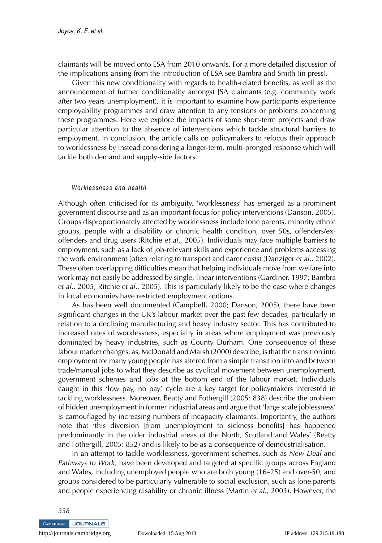claimants will be moved onto ESA from 2010 onwards. For a more detailed discussion of the implications arising from the introduction of ESA see Bambra and Smith (in press).

Given this new conditionality with regards to health-related benefits, as well as the announcement of further conditionality amongst JSA claimants (e.g. community work after two years unemployment), it is important to examine how participants experience employability programmes and draw attention to any tensions or problems concerning these programmes. Here we explore the impacts of some short-term projects and draw particular attention to the absence of interventions which tackle structural barriers to employment. In conclusion, the article calls on policymakers to refocus their approach to worklessness by instead considering a longer-term, multi-pronged response which will tackle both demand and supply-side factors.

#### *Worklessness and health*

Although often criticised for its ambiguity, 'worklessness' has emerged as a prominent government discourse and as an important focus for policy interventions (Danson, 2005). Groups disproportionately affected by worklessness include lone parents, minority ethnic groups, people with a disability or chronic health condition, over 50s, offenders/exoffenders and drug users (Ritchie *et al*., 2005). Individuals may face multiple barriers to employment, such as a lack of job-relevant skills and experience and problems accessing the work environment (often relating to transport and carer costs) (Danziger *et al*., 2002). These often overlapping difficulties mean that helping individuals move from welfare into work may not easily be addressed by single, linear interventions (Gardiner, 1997; Bambra *et al*., 2005; Ritchie *et al*., 2005). This is particularly likely to be the case where changes in local economies have restricted employment options.

As has been well documented (Campbell, 2000; Danson, 2005), there have been significant changes in the UK's labour market over the past few decades, particularly in relation to a declining manufacturing and heavy industry sector. This has contributed to increased rates of worklessness, especially in areas where employment was previously dominated by heavy industries, such as County Durham. One consequence of these labour market changes, as, McDonald and Marsh (2000) describe, is that the transition into employment for many young people has altered from a simple transition into and between trade/manual jobs to what they describe as cyclical movement between unemployment, government schemes and jobs at the bottom end of the labour market. Individuals caught in this 'low pay, no pay' cycle are a key target for policymakers interested in tackling worklessness. Moreover, Beatty and Fothergill (2005: 838) describe the problem of hidden unemployment in former industrial areas and argue that 'large scale joblessness' is camouflaged by increasing numbers of incapacity claimants. Importantly, the authors note that 'this diversion [from unemployment to sickness benefits] has happened predominantly in the older industrial areas of the North, Scotland and Wales' (Beatty and Fothergill, 2005: 852) and is likely to be as a consequence of deindustrialisation.

In an attempt to tackle worklessness, government schemes, such as *New Deal* and *Pathways to Work,* have been developed and targeted at specific groups across England and Wales, including unemployed people who are both young (16–25) and over-50, and groups considered to be particularly vulnerable to social exclusion, such as lone parents and people experiencing disability or chronic illness (Martin *et al.*, 2003). However, the

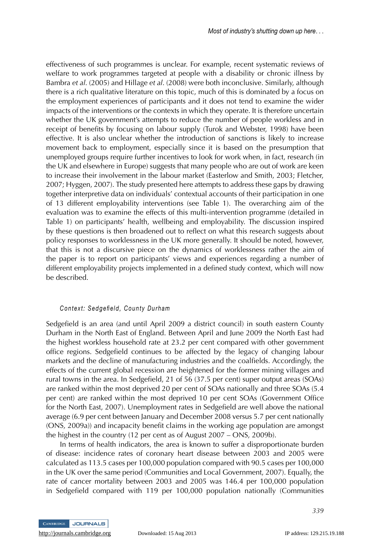effectiveness of such programmes is unclear. For example, recent systematic reviews of welfare to work programmes targeted at people with a disability or chronic illness by Bambra *et al*. (2005) and Hillage *et al*. (2008) were both inconclusive. Similarly, although there is a rich qualitative literature on this topic, much of this is dominated by a focus on the employment experiences of participants and it does not tend to examine the wider impacts of the interventions or the contexts in which they operate. It is therefore uncertain whether the UK government's attempts to reduce the number of people workless and in receipt of benefits by focusing on labour supply (Turok and Webster, 1998) have been effective. It is also unclear whether the introduction of sanctions is likely to increase movement back to employment, especially since it is based on the presumption that unemployed groups require further incentives to look for work when, in fact, research (in the UK and elsewhere in Europe) suggests that many people who are out of work are keen to increase their involvement in the labour market (Easterlow and Smith, 2003; Fletcher, 2007; Hyggen, 2007). The study presented here attempts to address these gaps by drawing together interpretive data on individuals' contextual accounts of their participation in one of 13 different employability interventions (see Table 1). The overarching aim of the evaluation was to examine the effects of this multi-intervention programme (detailed in Table 1) on participants' health, wellbeing and employability. The discussion inspired by these questions is then broadened out to reflect on what this research suggests about policy responses to worklessness in the UK more generally. It should be noted, however, that this is not a discursive piece on the dynamics of worklessness rather the aim of the paper is to report on participants' views and experiences regarding a number of different employability projects implemented in a defined study context, which will now be described.

#### *Context: Sedgefield, County Durham*

Sedgefield is an area (and until April 2009 a district council) in south eastern County Durham in the North East of England. Between April and June 2009 the North East had the highest workless household rate at 23.2 per cent compared with other government office regions. Sedgefield continues to be affected by the legacy of changing labour markets and the decline of manufacturing industries and the coalfields. Accordingly, the effects of the current global recession are heightened for the former mining villages and rural towns in the area. In Sedgefield, 21 of 56 (37.5 per cent) super output areas (SOAs) are ranked within the most deprived 20 per cent of SOAs nationally and three SOAs (5.4 per cent) are ranked within the most deprived 10 per cent SOAs (Government Office for the North East, 2007). Unemployment rates in Sedgefield are well above the national average (6.9 per cent between January and December 2008 versus 5.7 per cent nationally (ONS, 2009a)) and incapacity benefit claims in the working age population are amongst the highest in the country (12 per cent as of August 2007 – ONS, 2009b).

In terms of health indicators, the area is known to suffer a disproportionate burden of disease: incidence rates of coronary heart disease between 2003 and 2005 were calculated as 113.5 cases per 100,000 population compared with 90.5 cases per 100,000 in the UK over the same period (Communities and Local Government, 2007). Equally, the rate of cancer mortality between 2003 and 2005 was 146.4 per 100,000 population in Sedgefield compared with 119 per 100,000 population nationally (Communities

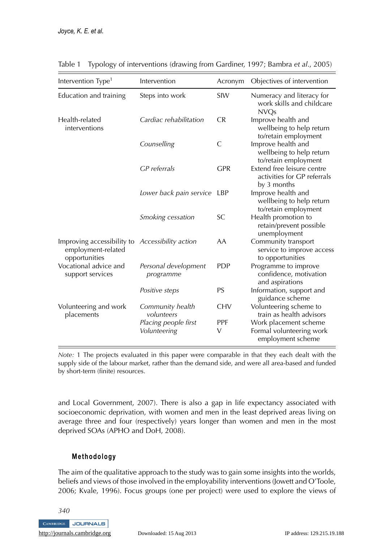| Intervention Type <sup>1</sup>                                    | Intervention                         | Acronym              | Objectives of intervention                                               |
|-------------------------------------------------------------------|--------------------------------------|----------------------|--------------------------------------------------------------------------|
| Education and training                                            | Steps into work                      | SIW                  | Numeracy and literacy for<br>work skills and childcare<br><b>NVQs</b>    |
| Health-related<br>interventions                                   | Cardiac rehabilitation               | <b>CR</b>            | Improve health and<br>wellbeing to help return<br>to/retain employment   |
|                                                                   | Counselling                          | C                    | Improve health and<br>wellbeing to help return<br>to/retain employment   |
|                                                                   | <b>GP</b> referrals                  | <b>GPR</b>           | Extend free leisure centre<br>activities for GP referrals<br>by 3 months |
|                                                                   | Lower back pain service              | LBP                  | Improve health and<br>wellbeing to help return<br>to/retain employment   |
|                                                                   | Smoking cessation                    | SC.                  | Health promotion to<br>retain/prevent possible<br>unemployment           |
| Improving accessibility to<br>employment-related<br>opportunities | Accessibility action                 | AA                   | Community transport<br>service to improve access<br>to opportunities     |
| Vocational advice and<br>support services                         | Personal development<br>programme    | <b>PDP</b>           | Programme to improve<br>confidence, motivation<br>and aspirations        |
|                                                                   | Positive steps                       | PS                   | Information, support and<br>guidance scheme                              |
| Volunteering and work<br>placements                               | Community health<br>volunteers       | <b>CHV</b>           | Volunteering scheme to<br>train as health advisors                       |
|                                                                   | Placing people first<br>Volunteering | <b>PPF</b><br>$\vee$ | Work placement scheme<br>Formal volunteering work<br>employment scheme   |

Table 1 Typology of interventions (drawing from Gardiner, 1997; Bambra *et al*., 2005)

*Note:* 1 The projects evaluated in this paper were comparable in that they each dealt with the supply side of the labour market, rather than the demand side, and were all area-based and funded by short-term (finite) resources.

and Local Government, 2007). There is also a gap in life expectancy associated with socioeconomic deprivation, with women and men in the least deprived areas living on average three and four (respectively) years longer than women and men in the most deprived SOAs (APHO and DoH, 2008).

# **Methodology**

The aim of the qualitative approach to the study was to gain some insights into the worlds, beliefs and views of those involved in the employability interventions (Jowett and O'Toole, 2006; Kvale, 1996). Focus groups (one per project) were used to explore the views of

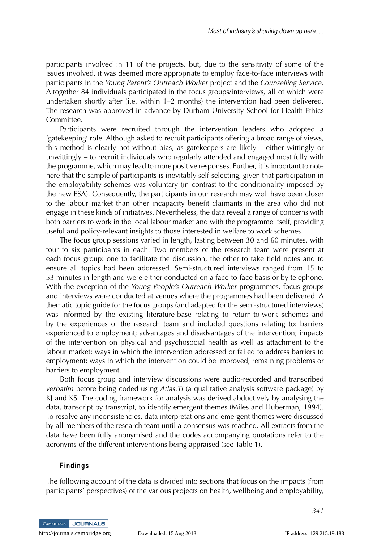participants involved in 11 of the projects, but, due to the sensitivity of some of the issues involved, it was deemed more appropriate to employ face-to-face interviews with participants in the *Young Parent's Outreach Worker* project and the *Counselling Service*. Altogether 84 individuals participated in the focus groups/interviews, all of which were undertaken shortly after (i.e. within 1–2 months) the intervention had been delivered. The research was approved in advance by Durham University School for Health Ethics Committee.

Participants were recruited through the intervention leaders who adopted a 'gatekeeping' role. Although asked to recruit participants offering a broad range of views, this method is clearly not without bias, as gatekeepers are likely – either wittingly or unwittingly – to recruit individuals who regularly attended and engaged most fully with the programme, which may lead to more positive responses. Further, it is important to note here that the sample of participants is inevitably self-selecting, given that participation in the employability schemes was voluntary (in contrast to the conditionality imposed by the new ESA). Consequently, the participants in our research may well have been closer to the labour market than other incapacity benefit claimants in the area who did not engage in these kinds of initiatives. Nevertheless, the data reveal a range of concerns with both barriers to work in the local labour market and with the programme itself, providing useful and policy-relevant insights to those interested in welfare to work schemes.

The focus group sessions varied in length, lasting between 30 and 60 minutes, with four to six participants in each. Two members of the research team were present at each focus group: one to facilitate the discussion, the other to take field notes and to ensure all topics had been addressed. Semi-structured interviews ranged from 15 to 53 minutes in length and were either conducted on a face-to-face basis or by telephone. With the exception of the *Young People's Outreach Worker* programmes, focus groups and interviews were conducted at venues where the programmes had been delivered. A thematic topic guide for the focus groups (and adapted for the semi-structured interviews) was informed by the existing literature-base relating to return-to-work schemes and by the experiences of the research team and included questions relating to: barriers experienced to employment; advantages and disadvantages of the intervention; impacts of the intervention on physical and psychosocial health as well as attachment to the labour market; ways in which the intervention addressed or failed to address barriers to employment; ways in which the intervention could be improved; remaining problems or barriers to employment.

Both focus group and interview discussions were audio-recorded and transcribed *verbatim* before being coded using *Atlas.Ti* (a qualitative analysis software package) by KJ and KS. The coding framework for analysis was derived abductively by analysing the data, transcript by transcript, to identify emergent themes (Miles and Huberman, 1994). To resolve any inconsistencies, data interpretations and emergent themes were discussed by all members of the research team until a consensus was reached. All extracts from the data have been fully anonymised and the codes accompanying quotations refer to the acronyms of the different interventions being appraised (see Table 1).

#### **Findings**

The following account of the data is divided into sections that focus on the impacts (from participants' perspectives) of the various projects on health, wellbeing and employability,

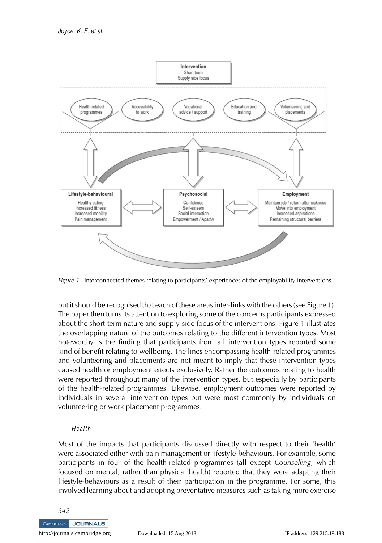

*Figure 1.* Interconnected themes relating to participants' experiences of the employability interventions.

but it should be recognised that each of these areas inter-links with the others (see Figure 1). The paper then turns its attention to exploring some of the concerns participants expressed about the short-term nature and supply-side focus of the interventions. Figure 1 illustrates the overlapping nature of the outcomes relating to the different intervention types. Most noteworthy is the finding that participants from all intervention types reported some kind of benefit relating to wellbeing. The lines encompassing health-related programmes and volunteering and placements are not meant to imply that these intervention types caused health or employment effects exclusively. Rather the outcomes relating to health were reported throughout many of the intervention types, but especially by participants of the health-related programmes. Likewise, employment outcomes were reported by individuals in several intervention types but were most commonly by individuals on volunteering or work placement programmes.

#### *Health*

Most of the impacts that participants discussed directly with respect to their 'health' were associated either with pain management or lifestyle-behaviours. For example, some participants in four of the health-related programmes (all except *Counselling*, which focused on mental, rather than physical health) reported that they were adapting their lifestyle-behaviours as a result of their participation in the programme. For some, this involved learning about and adopting preventative measures such as taking more exercise

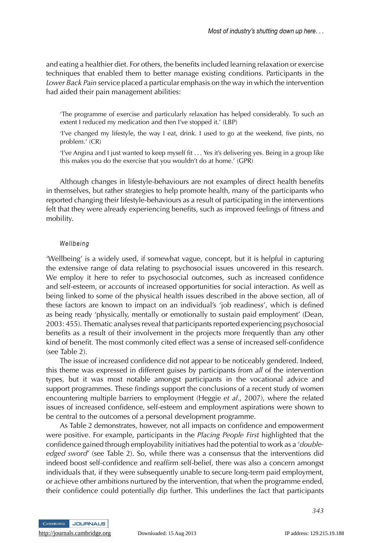and eating a healthier diet. For others, the benefits included learning relaxation or exercise techniques that enabled them to better manage existing conditions. Participants in the *Lower Back Pain* service placed a particular emphasis on the way in which the intervention had aided their pain management abilities:

'The programme of exercise and particularly relaxation has helped considerably. To such an extent I reduced my medication and then I've stopped it.' (LBP)

'I've changed my lifestyle, the way I eat, drink. I used to go at the weekend, five pints, no problem.' (CR)

'I've Angina and I just wanted to keep myself fit ... Yes it's delivering yes. Being in a group like this makes you do the exercise that you wouldn't do at home.' (GPR)

Although changes in lifestyle-behaviours are not examples of direct health benefits in themselves, but rather strategies to help promote health, many of the participants who reported changing their lifestyle-behaviours as a result of participating in the interventions felt that they were already experiencing benefits, such as improved feelings of fitness and mobility.

#### *Wellbeing*

'Wellbeing' is a widely used, if somewhat vague, concept, but it is helpful in capturing the extensive range of data relating to psychosocial issues uncovered in this research. We employ it here to refer to psychosocial outcomes, such as increased confidence and self-esteem, or accounts of increased opportunities for social interaction. As well as being linked to some of the physical health issues described in the above section, all of these factors are known to impact on an individual's 'job readiness', which is defined as being ready 'physically, mentally or emotionally to sustain paid employment' (Dean, 2003: 455). Thematic analyses reveal that participants reported experiencing psychosocial benefits as a result of their involvement in the projects more frequently than any other kind of benefit. The most commonly cited effect was a sense of increased self-confidence (see Table 2).

The issue of increased confidence did not appear to be noticeably gendered. Indeed, this theme was expressed in different guises by participants from *all* of the intervention types, but it was most notable amongst participants in the vocational advice and support programmes. These findings support the conclusions of a recent study of women encountering multiple barriers to employment (Heggie *et al*., 2007), where the related issues of increased confidence, self-esteem and employment aspirations were shown to be central to the outcomes of a personal development programme.

As Table 2 demonstrates, however, not all impacts on confidence and empowerment were positive. For example, participants in the *Placing People First* highlighted that the confidence gained through employability initiatives had the potential to work as a '*doubleedged sword*' (see Table 2). So, while there was a consensus that the interventions did indeed boost self-confidence and reaffirm self-belief, there was also a concern amongst individuals that, if they were subsequently unable to secure long-term paid employment, or achieve other ambitions nurtured by the intervention, that when the programme ended, their confidence could potentially dip further. This underlines the fact that participants

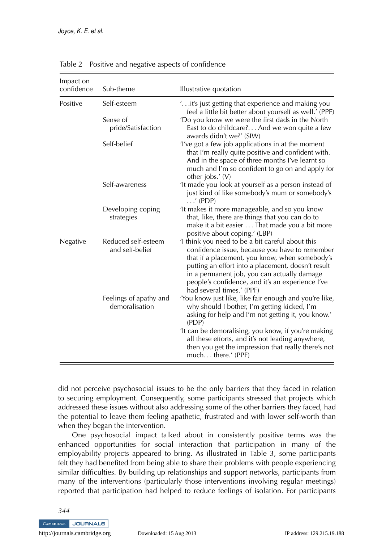| Impact on<br>confidence | Sub-theme                                | Illustrative quotation                                                                                                                                                                                                                                                                                                                     |
|-------------------------|------------------------------------------|--------------------------------------------------------------------------------------------------------------------------------------------------------------------------------------------------------------------------------------------------------------------------------------------------------------------------------------------|
| Positive                | Self-esteem                              | "it's just getting that experience and making you<br>feel a little bit better about yourself as well.' (PPF)                                                                                                                                                                                                                               |
|                         | Sense of<br>pride/Satisfaction           | 'Do you know we were the first dads in the North<br>East to do childcare? And we won quite a few<br>awards didn't we?' (SIW)                                                                                                                                                                                                               |
|                         | Self-belief                              | 'I've got a few job applications in at the moment<br>that I'm really quite positive and confident with.<br>And in the space of three months I've learnt so<br>much and I'm so confident to go on and apply for<br>other jobs.' (V)                                                                                                         |
|                         | Self-awareness                           | 'It made you look at yourself as a person instead of<br>just kind of like somebody's mum or somebody's<br>$\ldots$ ' (PDP)                                                                                                                                                                                                                 |
|                         | Developing coping<br>strategies          | 'It makes it more manageable, and so you know<br>that, like, there are things that you can do to<br>make it a bit easier That made you a bit more<br>positive about coping.' (LBP)                                                                                                                                                         |
| Negative                | Reduced self-esteem<br>and self-belief   | 'I think you need to be a bit careful about this<br>confidence issue, because you have to remember<br>that if a placement, you know, when somebody's<br>putting an effort into a placement, doesn't result<br>in a permanent job, you can actually damage<br>people's confidence, and it's an experience I've<br>had several times.' (PPF) |
|                         | Feelings of apathy and<br>demoralisation | 'You know just like, like fair enough and you're like,<br>why should I bother, I'm getting kicked, I'm<br>asking for help and I'm not getting it, you know.'<br>(PDP)                                                                                                                                                                      |
|                         |                                          | 'It can be demoralising, you know, if you're making<br>all these efforts, and it's not leading anywhere,<br>then you get the impression that really there's not<br>muchthere.' (PPF)                                                                                                                                                       |

Table 2 Positive and negative aspects of confidence

did not perceive psychosocial issues to be the only barriers that they faced in relation to securing employment. Consequently, some participants stressed that projects which addressed these issues without also addressing some of the other barriers they faced, had the potential to leave them feeling apathetic, frustrated and with lower self-worth than when they began the intervention.

One psychosocial impact talked about in consistently positive terms was the enhanced opportunities for social interaction that participation in many of the employability projects appeared to bring. As illustrated in Table 3, some participants felt they had benefited from being able to share their problems with people experiencing similar difficulties. By building up relationships and support networks, participants from many of the interventions (particularly those interventions involving regular meetings) reported that participation had helped to reduce feelings of isolation. For participants

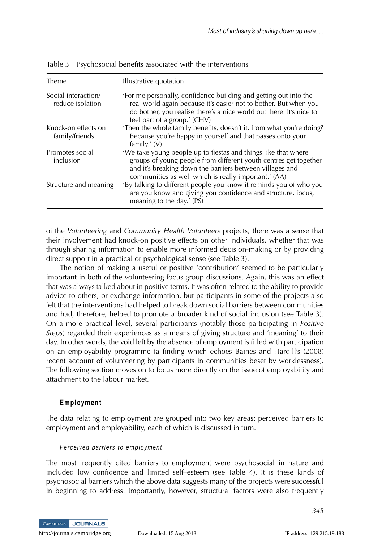| Theme                                   | Illustrative quotation                                                                                                                                                                                                                                 |
|-----------------------------------------|--------------------------------------------------------------------------------------------------------------------------------------------------------------------------------------------------------------------------------------------------------|
| Social interaction/<br>reduce isolation | 'For me personally, confidence building and getting out into the<br>real world again because it's easier not to bother. But when you<br>do bother, you realise there's a nice world out there. It's nice to<br>feel part of a group.' (CHV)            |
| Knock-on effects on<br>family/friends   | 'Then the whole family benefits, doesn't it, from what you're doing?<br>Because you're happy in yourself and that passes onto your<br>family.' $(V)$                                                                                                   |
| Promotes social<br>inclusion            | 'We take young people up to fiestas and things like that where<br>groups of young people from different youth centres get together<br>and it's breaking down the barriers between villages and<br>communities as well which is really important.' (AA) |
| Structure and meaning                   | 'By talking to different people you know it reminds you of who you<br>are you know and giving you confidence and structure, focus,<br>meaning to the day.' (PS)                                                                                        |

Table 3 Psychosocial benefits associated with the interventions

of the *Volunteering* and *Community Health Volunteers* projects, there was a sense that their involvement had knock-on positive effects on other individuals, whether that was through sharing information to enable more informed decision-making or by providing direct support in a practical or psychological sense (see Table 3).

The notion of making a useful or positive 'contribution' seemed to be particularly important in both of the volunteering focus group discussions. Again, this was an effect that was always talked about in positive terms. It was often related to the ability to provide advice to others, or exchange information, but participants in some of the projects also felt that the interventions had helped to break down social barriers between communities and had, therefore, helped to promote a broader kind of social inclusion (see Table 3). On a more practical level, several participants (notably those participating in *Positive Steps*) regarded their experiences as a means of giving structure and 'meaning' to their day. In other words, the void left by the absence of employment is filled with participation on an employability programme (a finding which echoes Baines and Hardill's (2008) recent account of volunteering by participants in communities beset by worklessness). The following section moves on to focus more directly on the issue of employability and attachment to the labour market.

#### **Employment**

The data relating to employment are grouped into two key areas: perceived barriers to employment and employability, each of which is discussed in turn.

#### *Perceived barriers to employment*

The most frequently cited barriers to employment were psychosocial in nature and included low confidence and limited self–esteem (see Table 4). It is these kinds of psychosocial barriers which the above data suggests many of the projects were successful in beginning to address. Importantly, however, structural factors were also frequently

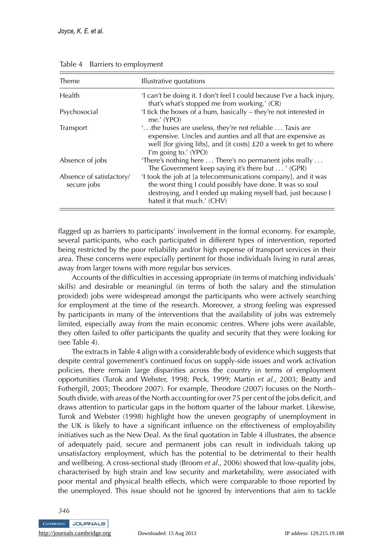| Theme                                   | Illustrative quotations                                                                                                                                                                                                              |  |
|-----------------------------------------|--------------------------------------------------------------------------------------------------------------------------------------------------------------------------------------------------------------------------------------|--|
| Health                                  | 'I can't be doing it. I don't feel I could because I've a back injury,<br>that's what's stopped me from working.' (CR)                                                                                                               |  |
| Psychosocial                            | 'I tick the boxes of a bum, basically – they're not interested in<br>me. $'$ (YPO)                                                                                                                                                   |  |
| Transport                               | $\ldots$ the buses are useless, they're not reliable $\ldots$ Taxis are<br>expensive. Uncles and aunties and all that are expensive as<br>well [for giving lifts], and [it costs] £20 a week to get to where<br>I'm going to.' (YPO) |  |
| Absence of jobs                         | 'There's nothing here  There's no permanent jobs really<br>The Government keep saying it's there but ' (GPR)                                                                                                                         |  |
| Absence of satisfactory/<br>secure jobs | 'I took the job at [a telecommunications company], and it was<br>the worst thing I could possibly have done. It was so soul<br>destroying, and I ended up making myself bad, just because I<br>hated it that much.' (CHV)            |  |

Table 4 Barriers to employment

flagged up as barriers to participants' involvement in the formal economy. For example, several participants, who each participated in different types of intervention, reported being restricted by the poor reliability and/or high expense of transport services in their area. These concerns were especially pertinent for those individuals living in rural areas, away from larger towns with more regular bus services.

Accounts of the difficulties in accessing appropriate (in terms of matching individuals' skills) and desirable or meaningful (in terms of both the salary and the stimulation provided) jobs were widespread amongst the participants who were actively searching for employment at the time of the research. Moreover, a strong feeling was expressed by participants in many of the interventions that the availability of jobs was extremely limited, especially away from the main economic centres. Where jobs were available, they often failed to offer participants the quality and security that they were looking for (see Table 4).

The extracts in Table 4 align with a considerable body of evidence which suggests that despite central government's continued focus on supply-side issues and work activation policies, there remain large disparities across the country in terms of employment opportunities (Turok and Webster, 1998; Peck, 1999; Martin *et al.*, 2003; Beatty and Fothergill, 2005; Theodore 2007). For example, Theodore (2007) focuses on the North– South divide, with areas of the North accounting for over 75 per cent of the jobs deficit, and draws attention to particular gaps in the bottom quarter of the labour market. Likewise, Turok and Webster (1998) highlight how the uneven geography of unemployment in the UK is likely to have a significant influence on the effectiveness of employability initiatives such as the New Deal. As the final quotation in Table 4 illustrates, the absence of adequately paid, secure and permanent jobs can result in individuals taking up unsatisfactory employment, which has the potential to be detrimental to their health and wellbeing. A cross-sectional study (Broom *et al*., 2006) showed that low-quality jobs, characterised by high strain and low security and marketability, were associated with poor mental and physical health effects, which were comparable to those reported by the unemployed. This issue should not be ignored by interventions that aim to tackle

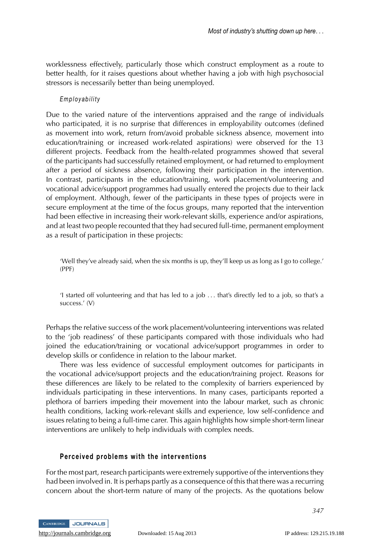worklessness effectively, particularly those which construct employment as a route to better health, for it raises questions about whether having a job with high psychosocial stressors is necessarily better than being unemployed.

#### *Employability*

Due to the varied nature of the interventions appraised and the range of individuals who participated, it is no surprise that differences in employability outcomes (defined as movement into work, return from/avoid probable sickness absence, movement into education/training or increased work-related aspirations) were observed for the 13 different projects. Feedback from the health-related programmes showed that several of the participants had successfully retained employment, or had returned to employment after a period of sickness absence, following their participation in the intervention. In contrast, participants in the education/training, work placement/volunteering and vocational advice/support programmes had usually entered the projects due to their lack of employment. Although, fewer of the participants in these types of projects were in secure employment at the time of the focus groups, many reported that the intervention had been effective in increasing their work-relevant skills, experience and/or aspirations, and at least two people recounted that they had secured full-time, permanent employment as a result of participation in these projects:

'Well they've already said, when the six months is up, they'll keep us as long as I go to college.' (PPF)

'I started off volunteering and that has led to a job ... that's directly led to a job, so that's a success.' (V)

Perhaps the relative success of the work placement/volunteering interventions was related to the 'job readiness' of these participants compared with those individuals who had joined the education/training or vocational advice/support programmes in order to develop skills or confidence in relation to the labour market.

There was less evidence of successful employment outcomes for participants in the vocational advice/support projects and the education/training project. Reasons for these differences are likely to be related to the complexity of barriers experienced by individuals participating in these interventions. In many cases, participants reported a plethora of barriers impeding their movement into the labour market, such as chronic health conditions, lacking work-relevant skills and experience, low self-confidence and issues relating to being a full-time carer. This again highlights how simple short-term linear interventions are unlikely to help individuals with complex needs.

#### **Perceived problems with the interventions**

For the most part, research participants were extremely supportive of the interventions they had been involved in. It is perhaps partly as a consequence of this that there was a recurring concern about the short-term nature of many of the projects. As the quotations below



<http://journals.cambridge.org> Downloaded: 15 Aug 2013 IP address: 129.215.19.188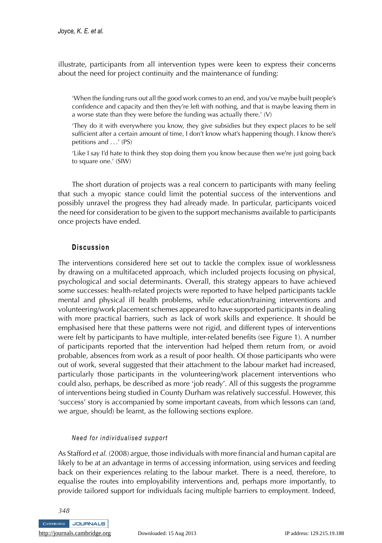illustrate, participants from all intervention types were keen to express their concerns about the need for project continuity and the maintenance of funding:

'When the funding runs out all the good work comes to an end, and you've maybe built people's confidence and capacity and then they're left with nothing, and that is maybe leaving them in a worse state than they were before the funding was actually there.' (V)

'They do it with everywhere you know, they give subsidies but they expect places to be self sufficient after a certain amount of time, I don't know what's happening though. I know there's petitions and ...' (PS)

'Like I say I'd hate to think they stop doing them you know because then we're just going back to square one.' (SIW)

The short duration of projects was a real concern to participants with many feeling that such a myopic stance could limit the potential success of the interventions and possibly unravel the progress they had already made. In particular, participants voiced the need for consideration to be given to the support mechanisms available to participants once projects have ended.

## **Discussion**

The interventions considered here set out to tackle the complex issue of worklessness by drawing on a multifaceted approach, which included projects focusing on physical, psychological and social determinants. Overall, this strategy appears to have achieved some successes: health-related projects were reported to have helped participants tackle mental and physical ill health problems, while education/training interventions and volunteering/work placement schemes appeared to have supported participants in dealing with more practical barriers, such as lack of work skills and experience. It should be emphasised here that these patterns were not rigid, and different types of interventions were felt by participants to have multiple, inter-related benefits (see Figure 1). A number of participants reported that the intervention had helped them return from, or avoid probable, absences from work as a result of poor health. Of those participants who were out of work, several suggested that their attachment to the labour market had increased, particularly those participants in the volunteering/work placement interventions who could also, perhaps, be described as more 'job ready'. All of this suggests the programme of interventions being studied in County Durham was relatively successful. However, this 'success' story is accompanied by some important caveats, from which lessons can (and, we argue, should) be learnt, as the following sections explore.

#### *Need for individualised support*

As Stafford *et al.* (2008) argue, those individuals with more financial and human capital are likely to be at an advantage in terms of accessing information, using services and feeding back on their experiences relating to the labour market. There is a need, therefore, to equalise the routes into employability interventions and, perhaps more importantly, to provide tailored support for individuals facing multiple barriers to employment. Indeed,

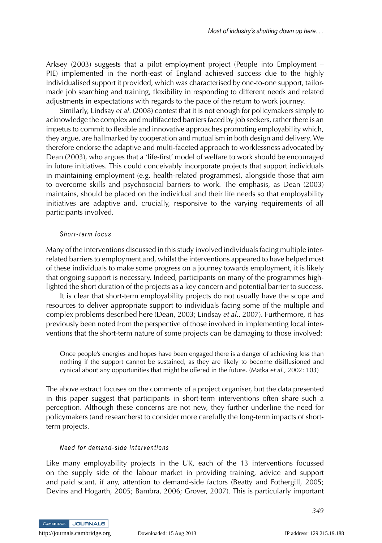Arksey (2003) suggests that a pilot employment project (People into Employment – PIE) implemented in the north-east of England achieved success due to the highly individualised support it provided, which was characterised by one-to-one support, tailormade job searching and training, flexibility in responding to different needs and related adjustments in expectations with regards to the pace of the return to work journey.

Similarly, Lindsay *et al*. (2008) contest that it is not enough for policymakers simply to acknowledge the complex and multifaceted barriers faced by job seekers, rather there is an impetus to commit to flexible and innovative approaches promoting employability which, they argue, are hallmarked by cooperation and mutualism in both design and delivery. We therefore endorse the adaptive and multi-faceted approach to worklessness advocated by Dean (2003), who argues that a 'life-first' model of welfare to work should be encouraged in future initiatives. This could conceivably incorporate projects that support individuals in maintaining employment (e.g. health-related programmes), alongside those that aim to overcome skills and psychosocial barriers to work. The emphasis, as Dean (2003) maintains, should be placed on the individual and their life needs so that employability initiatives are adaptive and, crucially, responsive to the varying requirements of all participants involved.

#### *Short-term focus*

Many of the interventions discussed in this study involved individuals facing multiple interrelated barriers to employment and, whilst the interventions appeared to have helped most of these individuals to make some progress on a journey towards employment, it is likely that ongoing support is necessary. Indeed, participants on many of the programmes highlighted the short duration of the projects as a key concern and potential barrier to success.

It is clear that short-term employability projects do not usually have the scope and resources to deliver appropriate support to individuals facing some of the multiple and complex problems described here (Dean, 2003; Lindsay *et al*., 2007). Furthermore, it has previously been noted from the perspective of those involved in implementing local interventions that the short-term nature of some projects can be damaging to those involved:

Once people's energies and hopes have been engaged there is a danger of achieving less than nothing if the support cannot be sustained, as they are likely to become disillusioned and cynical about any opportunities that might be offered in the future. (Matka *et al*., 2002: 103)

The above extract focuses on the comments of a project organiser, but the data presented in this paper suggest that participants in short-term interventions often share such a perception. Although these concerns are not new, they further underline the need for policymakers (and researchers) to consider more carefully the long-term impacts of shortterm projects.

#### *Need for demand-side interventions*

Like many employability projects in the UK, each of the 13 interventions focussed on the supply side of the labour market in providing training, advice and support and paid scant, if any, attention to demand-side factors (Beatty and Fothergill, 2005; Devins and Hogarth, 2005; Bambra, 2006; Grover, 2007). This is particularly important



*349*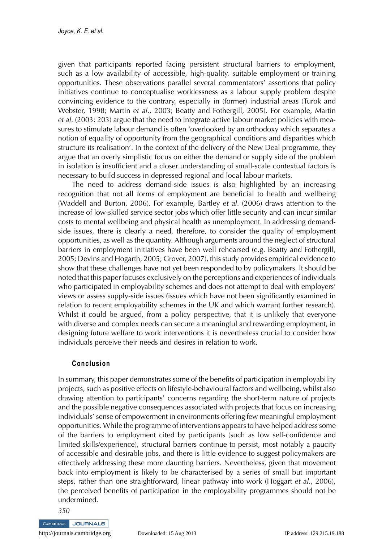given that participants reported facing persistent structural barriers to employment, such as a low availability of accessible, high-quality, suitable employment or training opportunities. These observations parallel several commentators' assertions that policy initiatives continue to conceptualise worklessness as a labour supply problem despite convincing evidence to the contrary, especially in (former) industrial areas (Turok and Webster, 1998; Martin *et al*., 2003; Beatty and Fothergill, 2005). For example, Martin *et al*. (2003: 203) argue that the need to integrate active labour market policies with measures to stimulate labour demand is often 'overlooked by an orthodoxy which separates a notion of equality of opportunity from the geographical conditions and disparities which structure its realisation'. In the context of the delivery of the New Deal programme, they argue that an overly simplistic focus on either the demand or supply side of the problem in isolation is insufficient and a closer understanding of small-scale contextual factors is necessary to build success in depressed regional and local labour markets.

The need to address demand-side issues is also highlighted by an increasing recognition that not all forms of employment are beneficial to health and wellbeing (Waddell and Burton, 2006). For example, Bartley *et al*. (2006) draws attention to the increase of low-skilled service sector jobs which offer little security and can incur similar costs to mental wellbeing and physical health as unemployment. In addressing demandside issues, there is clearly a need, therefore, to consider the quality of employment opportunities, as well as the quantity. Although arguments around the neglect of structural barriers in employment initiatives have been well rehearsed (e.g. Beatty and Fothergill, 2005; Devins and Hogarth, 2005; Grover, 2007), this study provides empirical evidence to show that these challenges have not yet been responded to by policymakers. It should be noted that this paper focuses exclusively on the perceptions and experiences of individuals who participated in employability schemes and does not attempt to deal with employers' views or assess supply-side issues (issues which have not been significantly examined in relation to recent employability schemes in the UK and which warrant further research). Whilst it could be argued, from a policy perspective, that it is unlikely that everyone with diverse and complex needs can secure a meaningful and rewarding employment, in designing future welfare to work interventions it is nevertheless crucial to consider how individuals perceive their needs and desires in relation to work.

# **Conclusion**

In summary, this paper demonstrates some of the benefits of participation in employability projects, such as positive effects on lifestyle-behavioural factors and wellbeing, whilst also drawing attention to participants' concerns regarding the short-term nature of projects and the possible negative consequences associated with projects that focus on increasing individuals' sense of empowerment in environments offering few meaningful employment opportunities. While the programme of interventions appears to have helped address some of the barriers to employment cited by participants (such as low self-confidence and limited skills/experience), structural barriers continue to persist, most notably a paucity of accessible and desirable jobs, and there is little evidence to suggest policymakers are effectively addressing these more daunting barriers. Nevertheless, given that movement back into employment is likely to be characterised by a series of small but important steps, rather than one straightforward, linear pathway into work (Hoggart *et al*., 2006), the perceived benefits of participation in the employability programmes should not be undermined.

*350*

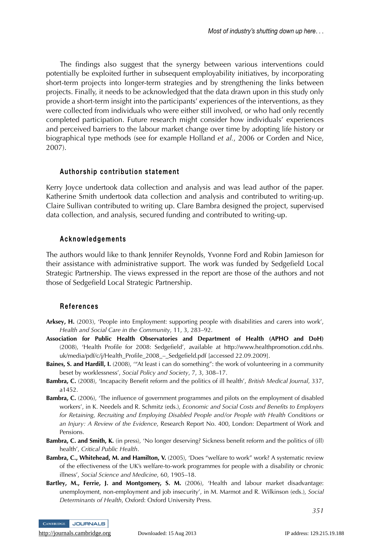The findings also suggest that the synergy between various interventions could potentially be exploited further in subsequent employability initiatives, by incorporating short-term projects into longer-term strategies and by strengthening the links between projects. Finally, it needs to be acknowledged that the data drawn upon in this study only provide a short-term insight into the participants' experiences of the interventions, as they were collected from individuals who were either still involved, or who had only recently completed participation. Future research might consider how individuals' experiences and perceived barriers to the labour market change over time by adopting life history or biographical type methods (see for example Holland *et al.*, 2006 or Corden and Nice, 2007).

## **Authorship contribution statement**

Kerry Joyce undertook data collection and analysis and was lead author of the paper. Katherine Smith undertook data collection and analysis and contributed to writing-up. Claire Sullivan contributed to writing up. Clare Bambra designed the project, supervised data collection, and analysis, secured funding and contributed to writing-up.

#### **Acknowledgements**

The authors would like to thank Jennifer Reynolds, Yvonne Ford and Robin Jamieson for their assistance with administrative support. The work was funded by Sedgefield Local Strategic Partnership. The views expressed in the report are those of the authors and not those of Sedgefield Local Strategic Partnership.

# **References**

- **Arksey, H.** (2003), 'People into Employment: supporting people with disabilities and carers into work', *Health and Social Care in the Community*, 11, 3, 283–92.
- **Association for Public Health Observatories and Department of Health (APHO and DoH)** (2008), 'Health Profile for 2008: Sedgefield', available at http://www.healthpromotion.cdd.nhs. uk/media/pdf/c/j/Health\_Profile\_2008\_–\_Sedgefield.pdf [accessed 22.09.2009].
- **Baines, S. and Hardill, I.** (2008), '"At least i can do something": the work of volunteering in a community beset by worklessness', *Social Policy and Society*, 7, 3, 308–17.
- **Bambra, C.** (2008), 'Incapacity Benefit reform and the politics of ill health', *British Medical Journal*, 337, a1452.
- **Bambra, C.** (2006), 'The influence of government programmes and pilots on the employment of disabled workers', in K. Needels and R. Schmitz (eds.), *Economic and Social Costs and Benefits to Employers for Retaining, Recruiting and Employing Disabled People and/or People with Health Conditions or an Injury: A Review of the Evidence*, Research Report No. 400, London: Department of Work and Pensions.
- **Bambra, C. and Smith, K.** (in press), 'No longer deserving? Sickness benefit reform and the politics of (ill) health', *Critical Public Health*.
- **Bambra, C., Whitehead, M. and Hamilton, V.** (2005), 'Does "welfare to work" work? A systematic review of the effectiveness of the UK's welfare-to-work programmes for people with a disability or chronic illness', *Social Science and Medicine*, 60, 1905–18.
- **Bartley, M., Ferrie, J. and Montgomery, S. M.** (2006), 'Health and labour market disadvantage: unemployment, non-employment and job insecurity', in M. Marmot and R. Wilkinson (eds.), *Social Determinants of Health*, Oxford: Oxford University Press.

CAMBRIDGE JOURNALS

<http://journals.cambridge.org> Downloaded: 15 Aug 2013 IP address: 129.215.19.188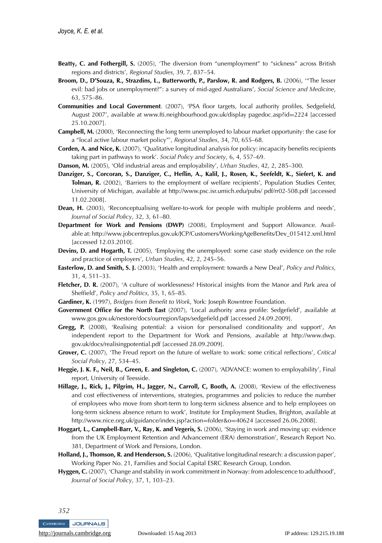- **Beatty, C. and Fothergill, S.** (2005), 'The diversion from "unemployment" to "sickness" across British regions and districts', *Regional Studies*, 39, 7, 837–54.
- **Broom, D., D'Souza, R., Strazdins, L., Butterworth, P., Parslow, R. and Rodgers, B.** (2006), '"The lesser evil: bad jobs or unemployment?": a survey of mid-aged Australians', *Social Science and Medicine*, 63, 575–86.
- **Communities and Local Government**. (2007), 'PSA floor targets, local authority profiles, Sedgefield, August 2007', available at www.fti.neighbourhood.gov.uk/display pagedoc.asp?id=2224 [accessed 25.10.2007].
- **Campbell, M.** (2000), 'Reconnecting the long term unemployed to labour market opportunity: the case for a "local active labour market policy"', *Regional Studies*, 34, 70, 655–68.
- **Corden, A. and Nice, K.** (2007), 'Qualitative longitudinal analysis for policy: incapacity benefits recipients taking part in pathways to work'. *Social Policy and Society*, 6, 4, 557–69.
- **Danson, M.** (2005), 'Old industrial areas and employability', *Urban Studies*, 42, 2, 285–300.
- **Danziger, S., Corcoran, S., Danziger, C., Heflin, A., Kalil, J., Rosen, K., Seefeldt, K., Siefert, K. and Tolman, R.** (2002), 'Barriers to the employment of welfare recipients', Population Studies Center, University of Michigan, available at http://www.psc.isr.umich.edu/pubs/ pdf/rr02-508.pdf [accessed 11.02.2008].
- **Dean, H.** (2003), 'Reconceptualising welfare-to-work for people with multiple problems and needs', *Journal of Social Policy*, 32, 3, 61–80.
- **Department for Work and Pensions (DWP)** (2008), Employment and Support Allowance. Available at: http://www.jobcentreplus.gov.uk/JCP/Customers/WorkingAgeBenefits/Dev\_015412.xml.html [accessed 12.03.2010].
- **Devins, D. and Hogarth, T.** (2005), 'Employing the unemployed: some case study evidence on the role and practice of employers', *Urban Studies*, 42, 2, 245–56.
- **Easterlow, D. and Smith, S. J.** (2003), 'Health and employment: towards a New Deal', *Policy and Politics*, 31, 4, 511–33.
- **Fletcher, D. R.** (2007), 'A culture of worklessness? Historical insights from the Manor and Park area of Sheffield', *Policy and Politics*, 35, 1, 65–85.
- **Gardiner, K.** (1997), *Bridges from Benefit to Work*, York: Joseph Rowntree Foundation.
- **Government Office for the North East** (2007), 'Local authority area profile: Sedgefield', available at www.gos.gov.uk/nestore/docs/ourregion/laps/sedgefield.pdf [accessed 24.09.2009].
- **Gregg, P.** (2008), 'Realising potential: a vision for personalised conditionality and support', An independent report to the Department for Work and Pensions, available at http://www.dwp. gov.uk/docs/realisingpotential.pdf [accessed 28.09.2009].
- **Grover, C.** (2007), 'The Freud report on the future of welfare to work: some critical reflections', *Critical Social Policy*, 27, 534–45.
- **Heggie, J. K. F., Neil, B., Green, E. and Singleton, C.** (2007), 'ADVANCE: women to employability', Final report, University of Teesside.
- **Hillage, J., Rick, J., Pilgrim, H., Jagger, N., Carroll, C, Booth, A.** (2008), 'Review of the effectiveness and cost effectiveness of interventions, strategies, programmes and policies to reduce the number of employees who move from short-term to long-term sickness absence and to help employees on long-term sickness absence return to work', Institute for Employment Studies, Brighton, available at http://www.nice.org.uk/guidance/index.jsp?action=folder&o=40624 [accessed 26.06.2008].
- **Hoggart, L., Campbell-Barr, V., Ray, K. and Vegeris, S.** (2006), 'Staying in work and moving up: evidence from the UK Employment Retention and Advancement (ERA) demonstration', Research Report No. 381, Department of Work and Pensions, London.
- **Holland, J., Thomson, R. and Henderson, S.** (2006), 'Qualitative longitudinal research: a discussion paper', Working Paper No. 21, Families and Social Capital ESRC Research Group, London.
- **Hyggen, C.** (2007), 'Change and stability in work commitment in Norway: from adolescence to adulthood', *Journal of Social Policy*, 37, 1, 103–23.